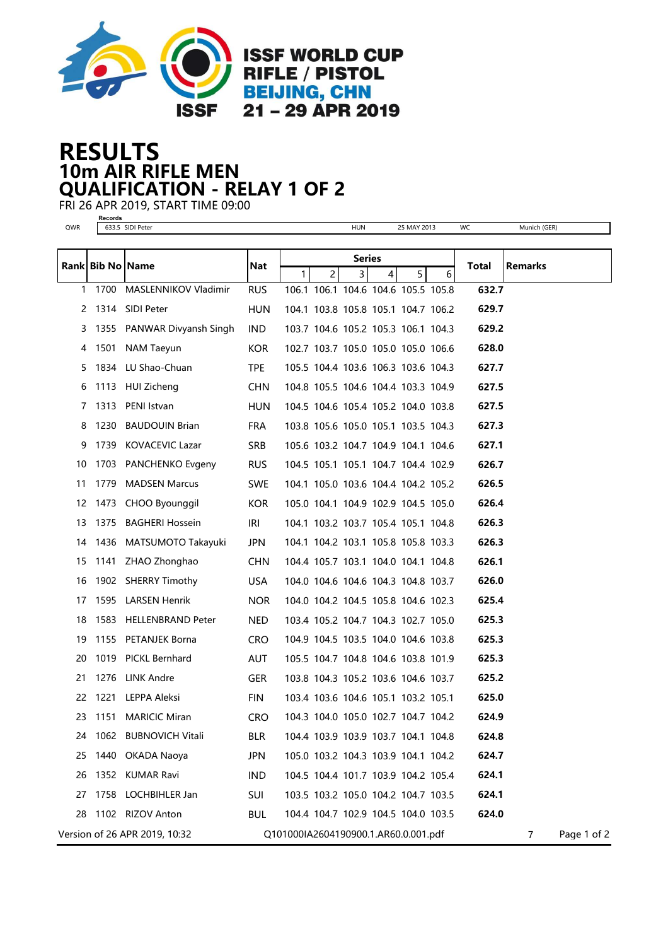

## 10m AIR RIFLE MEN RESULTS QUALIFICATION - RELAY 1 OF 2

FRI 26 APR 2019, START TIME 09:00

| ×<br>×<br>۰,<br>۰.<br>×<br>٠ |
|------------------------------|

QWR 633.5 SIDI Peter HUN 25 MAY 2013 WC Munich (GER)

| Munich (GER |  |
|-------------|--|
|             |  |

| Rank Bib No Name |      |                               | Nat        | <b>Series</b>  |                                      |   |   |   | Total | <b>Remarks</b> |                  |
|------------------|------|-------------------------------|------------|----------------|--------------------------------------|---|---|---|-------|----------------|------------------|
|                  |      |                               |            | 1 <sup>1</sup> | $\overline{2}$                       | 3 | 4 | 5 | 6     |                |                  |
|                  |      | 1 1700 MASLENNIKOV Vladimir   | <b>RUS</b> |                | 106.1 106.1 104.6 104.6 105.5 105.8  |   |   |   |       | 632.7          |                  |
|                  |      | 2 1314 SIDI Peter             | <b>HUN</b> |                | 104.1 103.8 105.8 105.1 104.7 106.2  |   |   |   |       | 629.7          |                  |
|                  |      | 3 1355 PANWAR Divyansh Singh  | IND.       |                | 103.7 104.6 105.2 105.3 106.1 104.3  |   |   |   |       | 629.2          |                  |
| 4                |      | 1501 NAM Taeyun               | KOR.       |                | 102.7 103.7 105.0 105.0 105.0 106.6  |   |   |   |       | 628.0          |                  |
| 5.               |      | 1834 LU Shao-Chuan            | <b>TPE</b> |                | 105.5 104.4 103.6 106.3 103.6 104.3  |   |   |   |       | 627.7          |                  |
| 6                |      | 1113 HUI Zicheng              | <b>CHN</b> |                | 104.8 105.5 104.6 104.4 103.3 104.9  |   |   |   |       | 627.5          |                  |
| 7                |      | 1313 PENI Istvan              | <b>HUN</b> |                | 104.5 104.6 105.4 105.2 104.0 103.8  |   |   |   |       | 627.5          |                  |
| 8                |      | 1230 BAUDOUIN Brian           | <b>FRA</b> |                | 103.8 105.6 105.0 105.1 103.5 104.3  |   |   |   |       | 627.3          |                  |
| 9                |      | 1739 KOVACEVIC Lazar          | <b>SRB</b> |                | 105.6 103.2 104.7 104.9 104.1 104.6  |   |   |   |       | 627.1          |                  |
| 10               |      | 1703 PANCHENKO Evgeny         | <b>RUS</b> |                | 104.5 105.1 105.1 104.7 104.4 102.9  |   |   |   |       | 626.7          |                  |
| 11               |      | 1779 MADSEN Marcus            | <b>SWE</b> |                | 104.1 105.0 103.6 104.4 104.2 105.2  |   |   |   |       | 626.5          |                  |
|                  |      | 12 1473 CHOO Byounggil        | <b>KOR</b> |                | 105.0 104.1 104.9 102.9 104.5 105.0  |   |   |   |       | 626.4          |                  |
|                  |      | 13 1375 BAGHERI Hossein       | IRI        |                | 104.1 103.2 103.7 105.4 105.1 104.8  |   |   |   |       | 626.3          |                  |
| 14               |      | 1436 MATSUMOTO Takayuki       | <b>JPN</b> |                | 104.1 104.2 103.1 105.8 105.8 103.3  |   |   |   |       | 626.3          |                  |
| 15               |      | 1141 ZHAO Zhonghao            | <b>CHN</b> |                | 104.4 105.7 103.1 104.0 104.1 104.8  |   |   |   |       | 626.1          |                  |
| 16               |      | 1902 SHERRY Timothy           | <b>USA</b> |                | 104.0 104.6 104.6 104.3 104.8 103.7  |   |   |   |       | 626.0          |                  |
| 17               |      | 1595 LARSEN Henrik            | <b>NOR</b> |                | 104.0 104.2 104.5 105.8 104.6 102.3  |   |   |   |       | 625.4          |                  |
| 18               |      | 1583 HELLENBRAND Peter        | <b>NED</b> |                | 103.4 105.2 104.7 104.3 102.7 105.0  |   |   |   |       | 625.3          |                  |
| 19               |      | 1155 PETANJEK Borna           | <b>CRO</b> |                | 104.9 104.5 103.5 104.0 104.6 103.8  |   |   |   |       | 625.3          |                  |
| 20               |      | 1019 PICKL Bernhard           | <b>AUT</b> |                | 105.5 104.7 104.8 104.6 103.8 101.9  |   |   |   |       | 625.3          |                  |
| 21               |      | 1276 LINK Andre               | <b>GER</b> |                | 103.8 104.3 105.2 103.6 104.6 103.7  |   |   |   |       | 625.2          |                  |
| 22               | 1221 | LEPPA Aleksi                  | <b>FIN</b> |                | 103.4 103.6 104.6 105.1 103.2 105.1  |   |   |   |       | 625.0          |                  |
| 23               | 1151 | <b>MARICIC Miran</b>          | <b>CRO</b> |                | 104.3 104.0 105.0 102.7 104.7 104.2  |   |   |   |       | 624.9          |                  |
| 24               |      | 1062 BUBNOVICH Vitali         | <b>BLR</b> |                | 104.4 103.9 103.9 103.7 104.1 104.8  |   |   |   |       | 624.8          |                  |
|                  |      | 25 1440 OKADA Naoya           | JPN        |                | 105.0 103.2 104.3 103.9 104.1 104.2  |   |   |   |       | 624.7          |                  |
| 26               |      | 1352 KUMAR Ravi               | <b>IND</b> |                | 104.5 104.4 101.7 103.9 104.2 105.4  |   |   |   |       | 624.1          |                  |
| 27               |      | 1758 LOCHBIHLER Jan           | <b>SUI</b> |                | 103.5 103.2 105.0 104.2 104.7 103.5  |   |   |   |       | 624.1          |                  |
| 28               |      | 1102 RIZOV Anton              | <b>BUL</b> |                | 104.4 104.7 102.9 104.5 104.0 103.5  |   |   |   |       | 624.0          |                  |
|                  |      | Version of 26 APR 2019, 10:32 |            |                | Q101000IA2604190900.1.AR60.0.001.pdf |   |   |   |       |                | Page 1 of 2<br>7 |